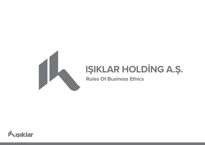

# **IŞIKLAR HOLDİNG A.Ş.**

**Rules Of Business Ethics**

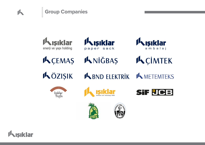



**K**CEMAS





**KCIMTEK** KNİĞBAŞ

KÖZIŞIK

A BND ELEKTRIK

**K METEMTEKS** 













 $\mathbf{r}$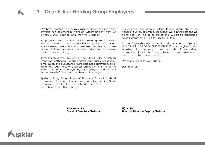# **1 Dear Işıklar Holding Group Employees**

We have adopted *"We neither take an unearned cent from anyone nor let others to have an unearned cent from us"* principle of our Founder Chairman Mr.Turgut Işık.

Employees and shareholders of Işıklar Holding Group acts with the awareness of their responsibilities against the society, environment, customers and business partners and these responsibilities constitute the basic principles of business ethics of Işıklar Holding.

In this context, we have written the "Ethics Rules" which are important both for our group and the individual success of our employees, and our Board of Directors has approved it. Işıklar Holding Group Rules of Business Ethics contains the all the rules which must be obeyed by our employees and primarily by our Board of Directors' members and managers.

Işıklar Holding Group Rules of Business Ethics include all employees. Therefore, it is necessary for Işıklar Holding Group employees of all levels to understand, accept and comply with the Ethics Rules.

Success and reputation of Işıklar Holding Group are in the hands of our valued employees as they were in the past and we all have to work in order to protect this. We are all responsible for the protection of "Işıklar Holding" brand.

Do not forget that we can apply and maintain the "IŞIKLAR HOLDİNG RULES OF BUSINESS ETHICS" which is given in this booklet, with the support and attitude of our valued employees. It is in our hands to enrich and sustain our corporate culture for long years.

We thank you all for your support.

Best regards,

**Rıza Kutlu IŞIK Board of Directors Chairman** **Uğur IŞIK Board of Directors Deputy Chairman**

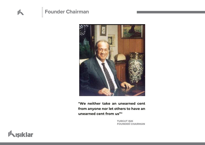# **Founder Chairman**



**"We neither take an unearned cent from anyone nor let others to have an unearned cent from us""**

> **TURGUT IŞIK FOUNDER CHAIRMAN**

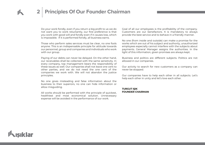# **2 Principles Of Our Founder Chairman**

Do your work fondly, even if you return a big profit to us we do not want you to work reluctantly, our first preference is that you work with good will and fondly even if it causes loss, which is impossible. If it is performed fondly, all business earns.

Those who perform sales services must be clear, no one fools anyone. This is an indispensable principle for attitude towards our personnel, group and companies and individuals who work with our group.

Paying of our debts can never be delayed. On the other hand, our receivables shall be collected with the same sensitivity. In every company, top management bears the responsibility of these issues as well. Our companies shall not leave one cent to other parties, and we do not need the one cent of the companies we work with. We will not abandon the justice principles.

No one gives misleading and false information about the business to their superiors, no one can hide information or allow misguiding.

All works should be performed with the principle of quickest, healthiest and most economical solution. Unnecessary expense will be avoided in the performance of our work.

Goal of all our employees is the profitability of the company. Customers are our benefactors. It is mandatory to always provide the best service and to behave in a friendly manner.

No one (from inside and outside) can make a promise for the works which are out of his subject and authority, unauthorized employees especially cannot interfere with the subjects about payments. General Manager assigns the authorities. In the light of this information, given promises are always kept.

Business and politics are different subjects. Politics are not allowed in our companies.

Our activity to search for new customers as a company can never be stopped.

Our companies have to help each other in all subjects. Let's help each other in unity and let's love each other.

### **TURGUT IŞIK FOUNDER CHAIRMAN**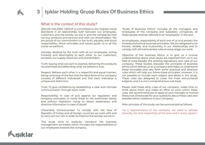## **3 Işıklar Holding Gruop Rules Of Business Ethics**

### What is the context of this study?

IŞIKLAR HOLDİNG GROUP is committed to the highest moral standards in all relationships both between our employees, customers and the society we live in and the companies that we buy products and services and with our shareholders. We are proud of our commitment to the truth, equality and social responsibility. Moral principles and values guide us in all the works we perform:

Honesty: Abiding by the truth with all our employees, acting honestly and downrightly to each other, to our customers, societies, our supply resources and shareholders.

Truth: Saying what we want to express, delivering the products we promised and defending what we believe is true.

Respect: Behave each other in a respectful and equal manner, being conscious of the fact that the labor force of our company consists of different individuals and that each individual is unique and distinctive.

Trust: To give confidence by establishing a clear and intimate communication through team work.

Responsibility: In case of acts against our regulation and company principles, to notify these to the authorities clearly and without hesitation; trying to obtain explanatory and directive information in case of doubt.

Citizenship Consciousness: To comply with the laws of Republic of Turkey and all foreign countries we work with and to carry out our role in order to improve the society we live in.

This study aims to explicitly introduce the business management principles which includes the responsibilities of our employees towards the company.

"Rules of Business Ethics" includes all the managers and employees of the company and subsidiary companies, all these people shall be referred to as "employees" in the text.

As employees, responsibility of each one of us is to protect the honesty and ethical business principles. We are obligated to be honest, reliable, and trustworthy in our relationships and to comply with ethical business rules at every stage our work.

Objective of the business ethics; is to give us a mutual understanding about what issues are expected from us in our field of work besides the existing regulations and rules of our company. These studies stipulate the principles of business ethics which defines us as a company and helps us understand these principles and sets forth some practical and directive rules which will help you follow these principles. However, it is not possible to include each subject and detail in this study. These rules are designed to cover the most encountered subjects, and it is not a comprehensive rule book.

Please read these ethic rules of our company, make time to think about them and make an effort to work within these rules. We recommend you to apply to your manager or Human Resources Directorate for your questions about these rules and possible ethics violations in your company.

Main principle of this study can be summarized as follows;

"As a representative of the company, we need to behave honestly, fair and respectfully all the time and in every aspect."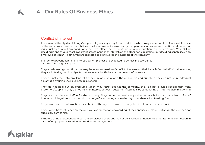## Conflict of Interest

It is essential that Işıklar Holding Group employees stay away from conditions which may cause conflict of interest. It is one of the most important responsibilities of all employees to avoid using company resources, name, identity and power for individual gains and from conditions that may affect the corporate name and reputation in a negative way. Your skill of deciding is one of your most important assets. Conflict of interest, on the other hand, restrains your deciding capability. As an employee of Işıklar Holding, you are expected to act towards the interests of the company.

In order to prevent conflict of interest, our employees are expected to behave in accordance with the following examples.

They avoid causing conditions that may leave an impression of conflict of interest on their behalf of on behalf of their relatives, they avoid taking part in subjects that are related with their or their relatives' interests.

They do not enter into any kind of financial relationship with the customers and suppliers, they do not gain individual advantage by using their business relationship.

They do not hold out on pressures which may result against the company, they do not provide special gain from customers/suppliers, they do not transfer interest between customers/suppliers by establishing an intermediary relationship.

They use their time and effort for the company. They do not undertake any other responsibility that may arise conflict of interest and they do not work within the body of another legal or real entity other than Işıklar Holding Group.

They do not use the information they obtained through their work in a way that it will cause unearned gain.

They do not have influence on the decisions of promotion or awarding of their spouses or close relatives in the company or subsidiary companies.

If there is a line of descent between the employees, there should not be a vertical or horizontal organizational connection in cases of employment, rotation, promotion and assignment.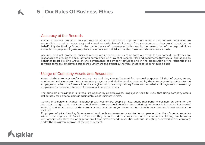## Accuracy of the Records

Accurate and well protected business records are important for us to perform our work. In this context, employees are responsible to provide the accuracy and compliance with law of all records, files and documents they use all operations on behalf of Işıklar Holding Group. In the performance of company activities and in the prosecution of the responsibilities towards company employees, suppliers, customers and official authorities, these records constitute a basis.

Accurate and well protected business records are important for us to perform our work. In this context, employees are responsible to provide the accuracy and compliance with law of all records, files and documents they use all operations on behalf of Işıklar Holding Group. In the performance of company activities and in the prosecution of the responsibilities towards company employees, suppliers, customers and official authorities, these records constitute a basis.

### Usage of Company Assets and Resources

Assets of the company are for company use and they cannot be used for personal purposes. All kind of goods, assets, equipment, vehicles, computers, computer programs and similar products owned by the company and provided to the employee in order to perform daily works, are given with inventory delivery forms and recorded, and they cannot be used by employees for personal interest or for personal interest of others.

The principle of "savings in all areas" are applied by all employees. Employees need to know that using company assets deliberately for personal gains is against "Rules of Business Ethics".

Getting into personal finance relationship with customers, people or institutions that perform business on behalf of the company, trying to gain advantage and looking after personal benefit in concluded agreements shall mean indirect use of material and moral assets of the company and creation and/or encountering of such environment should certainly be avoided.

Employees of Işıklar Holding Group cannot work as board member or auditor in companies other than Group companies without the approval of Board of Directors; they cannot work in competitors or the companies Holding has business relationship with. They can work in nonprofit organizations and universities without disrupting their work in the company and with the written approval of the management.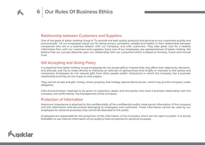### Relationship between Customers and Suppliers

One of the goals of Işıklar Holding Group is "To provide the best quality products and services to our customers quickly and economically". All our employees watch out for being correct, consistent, reliable and helpful in their relationship between companies who are in a business relation with our Company, and with customers. They take great care for a healthy information flow with our customers and suppliers. Every one of our employees, are representatives of Işıklar Holding. We believe that our success depends upon our relationship with our customers which is based on honesty, moral and mutual trust.

### Gift Accepting and Giving Policy

It is essential that Işıklar Holding Group employees do not accept gifts or interest that may affect their objectivity, decisions and attitude, and not to make directly or indirectly an attempt on giving those kind of gifts or interests to 3rd parties and companies. Employees do not request gifts from other people and/or institutions in which the company has a business relationship and they do not imply on that subject.

They cannot accept and gift, money, check, property, free holiday, special discounts etc. which may put the company under obligation.

Gifts and promotion materials to be given to customers, dealer and 3rd parties who have a business relationship with the company, are confirmed by Top Management of the Company.

### Protection of Information

Maximum importance is attached to the confidentiality of the confidential and/or trade secret information of the company and the information and documents belonging to employees and customers. Those information cannot be used by our employees for personal purposes, they cannot be disclosed to the public.

Employees are responsible for the protection of the information of the Company which are not open to public. It is strictly forbidden to use internal information of our publicly held companies for personal purposes.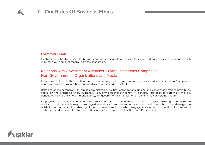### Electronic Mail

Electronic mail has to be used for business purposes. It should not be used for illegal and nonethical etc. messages which may leave you and/or company in a difficult situation.

## Relations with Government Agencies, Private Institutions/Companies, Non-Governmental Organizations and Media

It is essential that the relations of the company with government agencies, private institutions/companies, non-governmental organizations and media are correct and consistent.

Relations of the company with public administration, political organizations, unions and other organizations have to be based on the principles of truth, honesty, equality and independency. It is strictly forbidden to personally make a donation/give a gift to a government agency, nongovernmental organization on behalf of Işıklar Holding Group.

Employees need to avoid conditions which may cause a speculation about the relation of Işıklar Holding Group with the media, conditions which may cause negative evaluation and implementations and attitudes which may damage the reliability, reputation and consistency of the company or sector, or which may generate unfair competition. Such requests and cases need to be notified to Human Resources Directorate or Public Relations Department.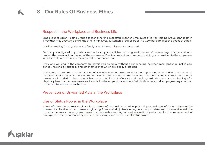## Respect in the Workplace and Business Life

Employees of Işıklar Holding Group act each other in a respectful manner. Employees of Işıklar Holding Group cannot act in a way that may unsettle, disturb the other employees, customers or suppliers or in a way that damages the goods of others.

In Işıklar Holding Group, private and family lives of the employees are respected.

Company is obligated to provide a secure, healthy and efficient working environment. Company pays strict attention to protect the personal information of the employees. Due to constant improvement, trainings are provided to the employees in order to allow them reach the required performance level.

Every one working in the company are considered as equal without discriminating between race, language, belief, age, gender, nationality, disability and other categories which are legally protected.

Unwanted, unwelcome acts and all kind of acts which are not welcomed by the respondent are included in the scope of harassment. All kind of acts which are not taken kindly by another employee and acts which contain sexual messages or threats are included in the scope of harassment. All kind of offensive and mocking attitude towards the disability of a physically handicapped employee are included in the scope of harassment. Within this context, all employees pay attention to their attitude towards each other.

### Prevention of Unwanted Acts in the Workplace

### Use of Status Power in the Workplace

Abuse of status power may originate from misuse of personal power (title, physical, personal, age) of the employee or the misuse of collective power (power originating from majority). Responding in an appropriate and constructive attitude towards the errors made by employees in a reasonable and logical level, evaluations performed for the improvement of employees in the performance system etc., are examples of normal use of status power.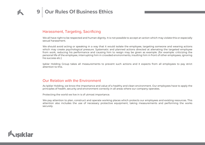## Harassment, Targeting, Sacrificing

We all have right to be respected and human dignity. It is not possible to accept an action which may violate this or especially sexual harassment.

We should avoid acting or speaking in a way that it would isolate the employee, targeting someone and wearing actions which may create psychological pressure. Systematic and planned actions directed at alienating the targeted employee from work, reducing his performance and causing him to resign may be given as example. (for example: criticizing the personal life of the employee, interrupting him in crowded environments, insulting him in front of other employees, ignoring his success etc.)

Işıklar Holding Group takes all measurements to prevent such actions and it expects from all employees to pay strict attention to this.

### Our Relation with the Environment

As Işıklar Holding, we know the importance and value of a healthy and clean environment. Our employees have to apply the principles of health, security and environment correctly in all areas where our company operates.

Protecting the world we live in is of utmost importance.

We pay attention to plan, construct and operate working places which protects our employees and existing resources. This attention also includes the use of necessary protective equipment, taking measurements and performing the works securely.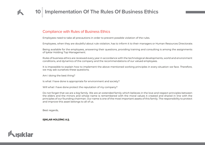# **10 Implementation Of The Rules Of Business Ethics**

### Compliance with Rules of Business Ethics

Employees need to take all precautions in order to prevent possible violation of the rules.

Employees, when they are doubtful about rule violation, has to inform it to their managers or Human Resources Directorate.

Being available for the employees, answering their questions, providing training and consulting is among the assignments of Işıklar Holding Top Management.

Rules of business ethics are reviewed every year in accordance with the technological developments, world and environment conditions, and dynamics of the company and the recommendations of our valued employees.

It is impossible to explain how to implement the above mentioned working principles in every situation we face. Therefore, we may ask ourselves these questions;

Am I doing the best thing?

Is what I have done is appropriate for environment and society?

Will what I have done protect the reputation of my company?

Do not forget that we are a big family. We are an extended family which believes in the love and respect principles between the elders and the minors and whose name is remembered with the moral values it created and shared in line with the principles of our founding chairman. Our name is one of the most important assets of this family. The responsibility to protect and improve this asset belongs to all of us.

Best regards,

**IŞIKLAR HOLDİNG A.Ş.**